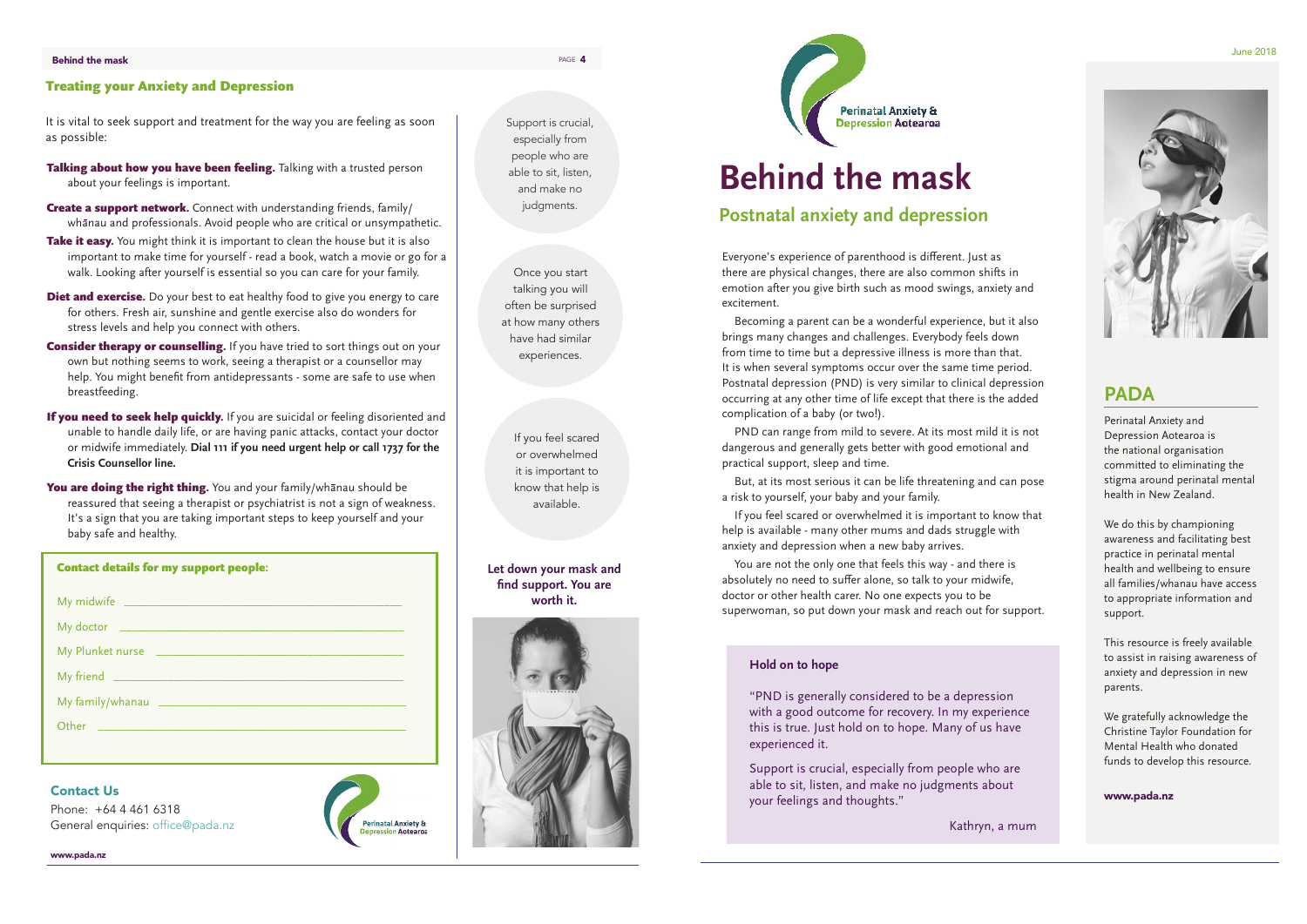# **PADA**

Perinatal Anxiety and Depression Aotearoa is the national organisation committed to eliminating the stigma around perinatal mental health in New Zealand.

We do this by championing awareness and facilitating best practice in perinatal mental health and wellbeing to ensure all families/whanau have access to appropriate information and support.

This resource is freely available to assist in raising awareness of anxiety and depression in new parents.

We gratefully acknowledge the Christine Taylor Foundation for Mental Health who donated funds to develop this resource.

www.pada.nz

Everyone's experience of parenthood is different. Just as there are physical changes, there are also common shifts in emotion after you give birth such as mood swings, anxiety and excitement.

Becoming a parent can be a wonderful experience, but it also brings many changes and challenges. Everybody feels down from time to time but a depressive illness is more than that. It is when several symptoms occur over the same time period. Postnatal depression (PND) is very similar to clinical depression occurring at any other time of life except that there is the added complication of a baby (or two!).

PND can range from mild to severe. At its most mild it is not dangerous and generally gets better with good emotional and practical support, sleep and time.

But, at its most serious it can be life threatening and can pose a risk to yourself, your baby and your family.

If you feel scared or overwhelmed it is important to know that help is available - many other mums and dads struggle with anxiety and depression when a new baby arrives.

- Talking about how you have been feeling. Talking with a trusted person about your feelings is important.
- **Create a support network.** Connect with understanding friends, family/ whanau and professionals. Avoid people who are critical or unsympathetic.
- Take it easy. You might think it is important to clean the house but it is also important to make time for yourself - read a book, watch a movie or go for a walk. Looking after yourself is essential so you can care for your family.
- **Diet and exercise.** Do your best to eat healthy food to give you energy to care for others. Fresh air, sunshine and gentle exercise also do wonders for stress levels and help you connect with others.
- **Consider therapy or counselling.** If you have tried to sort things out on your own but nothing seems to work, seeing a therapist or a counsellor may help. You might benefit from antidepressants - some are safe to use when breastfeeding.
- If you need to seek help quickly. If you are suicidal or feeling disoriented and unable to handle daily life, or are having panic attacks, contact your doctor or midwife immediately. **Dial 111 if you need urgent help or call 1737 for the Crisis Counsellor line.**
- You are doing the right thing. You and your family/whanau should be reassured that seeing a therapist or psychiatrist is not a sign of weakness. It's a sign that you are taking important steps to keep yourself and your baby safe and healthy.

You are not the only one that feels this way - and there is absolutely no need to suffer alone, so talk to your midwife, doctor or other health carer. No one expects you to be superwoman, so put down your mask and reach out for support.

Support is crucial, especially from people who are able to sit, listen, and make no judgments.

#### Treating your Anxiety and Depression

It is vital to seek support and treatment for the way you are feeling as soon as possible:

#### Contact Us

Phone: +64 4 461 6318 General enquiries: office@pada.nz **Tinatal Anxiety &** 





www.pada.nz

# **Behind the mask**

Once you start talking you will often be surprised at how many others have had similar experiences.

#### **Hold on to hope**

"PND is generally considered to be a depression with a good outcome for recovery. In my experience this is true. Just hold on to hope. Many of us have experienced it.

Support is crucial, especially from people who are able to sit, listen, and make no judgments about your feelings and thoughts."

Kathryn, a mum

| <b>Contact details for my support people:</b> |                                                                                                                |
|-----------------------------------------------|----------------------------------------------------------------------------------------------------------------|
|                                               |                                                                                                                |
|                                               |                                                                                                                |
| My Plunket nurse                              | <u> 1989 - Johann John Stone, mars eta bainar eta baina eta erritmentzia eta hiri zen.</u>                     |
|                                               |                                                                                                                |
|                                               |                                                                                                                |
|                                               | Other 2008 2010 2010 2010 2010 2011 2021 2022 2023 2024 2022 2023 2024 2022 2023 2024 2022 2023 2024 2025 2026 |
|                                               |                                                                                                                |

If you feel scared or overwhelmed it is important to know that help is available.

**Let down your mask and find support. You are worth it.**





## **Postnatal anxiety and depression**